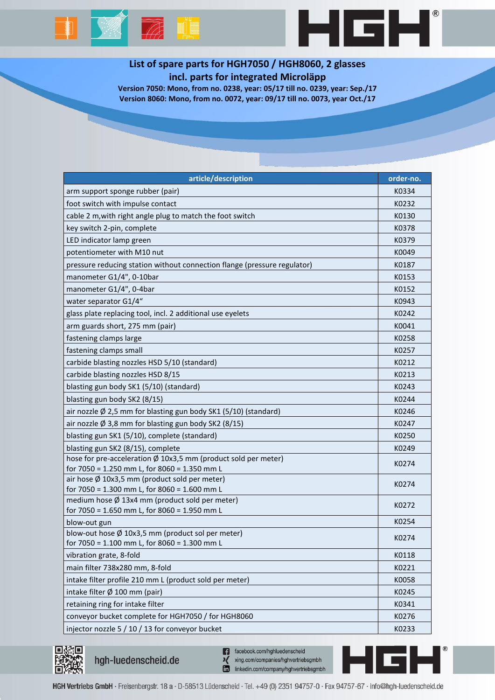



## **List of spare parts for HGH7050 / HGH8060, 2 glasses incl. parts for integrated Microläpp**

**Version 7050: Mono, from no. 0238, year: 05/17 till no. 0239, year: Sep./17 Version 8060: Mono, from no. 0072, year: 09/17 till no. 0073, year Oct./17**

| article/description                                                                                     | order-no. |
|---------------------------------------------------------------------------------------------------------|-----------|
| arm support sponge rubber (pair)                                                                        | K0334     |
| foot switch with impulse contact                                                                        | K0232     |
| cable 2 m, with right angle plug to match the foot switch                                               | K0130     |
| key switch 2-pin, complete                                                                              | K0378     |
| LED indicator lamp green                                                                                | K0379     |
| potentiometer with M10 nut                                                                              | K0049     |
| pressure reducing station without connection flange (pressure regulator)                                | K0187     |
| manometer G1/4", 0-10bar                                                                                | K0153     |
| manometer G1/4", 0-4bar                                                                                 | K0152     |
| water separator G1/4"                                                                                   | K0943     |
| glass plate replacing tool, incl. 2 additional use eyelets                                              | K0242     |
| arm guards short, 275 mm (pair)                                                                         | K0041     |
| fastening clamps large                                                                                  | K0258     |
| fastening clamps small                                                                                  | K0257     |
| carbide blasting nozzles HSD 5/10 (standard)                                                            | K0212     |
| carbide blasting nozzles HSD 8/15                                                                       | K0213     |
| blasting gun body SK1 (5/10) (standard)                                                                 | K0243     |
| blasting gun body SK2 (8/15)                                                                            | K0244     |
| air nozzle Ø 2,5 mm for blasting gun body SK1 (5/10) (standard)                                         | K0246     |
| air nozzle $\emptyset$ 3,8 mm for blasting gun body SK2 (8/15)                                          | K0247     |
| blasting gun SK1 (5/10), complete (standard)                                                            | K0250     |
| blasting gun SK2 (8/15), complete                                                                       | K0249     |
| hose for pre-acceleration Ø 10x3,5 mm (product sold per meter)                                          | K0274     |
| for 7050 = 1.250 mm L, for 8060 = 1.350 mm L                                                            |           |
| air hose $\emptyset$ 10x3,5 mm (product sold per meter)<br>for 7050 = 1.300 mm L, for 8060 = 1.600 mm L | K0274     |
| medium hose Ø 13x4 mm (product sold per meter)                                                          |           |
| for 7050 = 1.650 mm L, for 8060 = 1.950 mm L                                                            | K0272     |
| blow-out gun                                                                                            | K0254     |
| blow-out hose Ø 10x3,5 mm (product sol per meter)                                                       | K0274     |
| for 7050 = 1.100 mm L, for 8060 = 1.300 mm L                                                            |           |
| vibration grate, 8-fold                                                                                 | K0118     |
| main filter 738x280 mm, 8-fold                                                                          | K0221     |
| intake filter profile 210 mm L (product sold per meter)                                                 | K0058     |
| intake filter Ø 100 mm (pair)                                                                           | K0245     |
| retaining ring for intake filter                                                                        | K0341     |
| conveyor bucket complete for HGH7050 / for HGH8060                                                      | K0276     |
| injector nozzle 5 / 10 / 13 for conveyor bucket                                                         | K0233     |



hgh-luedenscheid.de

facebook.com/hghluedenscheid n xing.com/companies/hghvertriebsgmbh linkedin.com/company/hghvertriebsgmbh

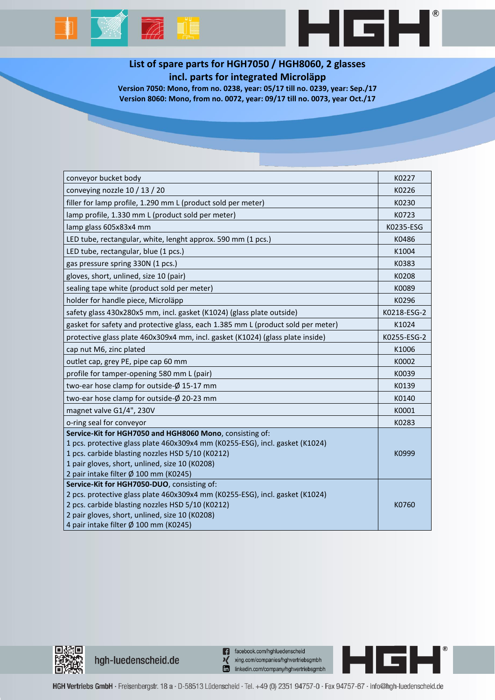## $\overline{\mathbb{A}}$  up



HGH'

Version 7050: Mono, from no. 0238, year: 05/17 till no. 0239, year: Sep./17 Version 8060: Mono, from no. 0072, year: 09/17 till no. 0073, year Oct./17

| conveyor bucket body                                                             | K0227       |
|----------------------------------------------------------------------------------|-------------|
| conveying nozzle $10/13/20$                                                      | K0226       |
| filler for lamp profile, 1.290 mm L (product sold per meter)                     | K0230       |
| lamp profile, 1.330 mm L (product sold per meter)                                | K0723       |
| lamp glass 605x83x4 mm                                                           | K0235-ESG   |
| LED tube, rectangular, white, lenght approx. 590 mm (1 pcs.)                     | K0486       |
| LED tube, rectangular, blue (1 pcs.)                                             | K1004       |
| gas pressure spring 330N (1 pcs.)                                                | K0383       |
| gloves, short, unlined, size 10 (pair)                                           | K0208       |
| sealing tape white (product sold per meter)                                      | K0089       |
| holder for handle piece, Microläpp                                               | K0296       |
| safety glass 430x280x5 mm, incl. gasket (K1024) (glass plate outside)            | K0218-ESG-2 |
| gasket for safety and protective glass, each 1.385 mm L (product sold per meter) | K1024       |
| protective glass plate 460x309x4 mm, incl. gasket (K1024) (glass plate inside)   | K0255-ESG-2 |
| cap nut M6, zinc plated                                                          | K1006       |
| outlet cap, grey PE, pipe cap 60 mm                                              | K0002       |
| profile for tamper-opening 580 mm L (pair)                                       | K0039       |
| two-ear hose clamp for outside-Ø 15-17 mm                                        | K0139       |
| two-ear hose clamp for outside-Ø 20-23 mm                                        | K0140       |
| magnet valve G1/4", 230V                                                         | K0001       |
| o-ring seal for conveyor                                                         | K0283       |
| Service-Kit for HGH7050 and HGH8060 Mono, consisting of:                         |             |
| 1 pcs. protective glass plate 460x309x4 mm (K0255-ESG), incl. gasket (K1024)     |             |
| 1 pcs. carbide blasting nozzles HSD 5/10 (K0212)                                 | K0999       |
| 1 pair gloves, short, unlined, size 10 (K0208)                                   |             |
| 2 pair intake filter Ø 100 mm (K0245)                                            |             |
| Service-Kit for HGH7050-DUO, consisting of:                                      |             |
| 2 pcs. protective glass plate 460x309x4 mm (K0255-ESG), incl. gasket (K1024)     |             |
| 2 pcs. carbide blasting nozzles HSD 5/10 (K0212)                                 | K0760       |
| 2 pair gloves, short, unlined, size 10 (K0208)                                   |             |
| 4 pair intake filter Ø 100 mm (K0245)                                            |             |



hgh-luedenscheid.de

n facebook.com/hghluedenscheid xing.com/companies/hghvertriebsgmbh linkedin.com/company/hghvertriebsgmbh